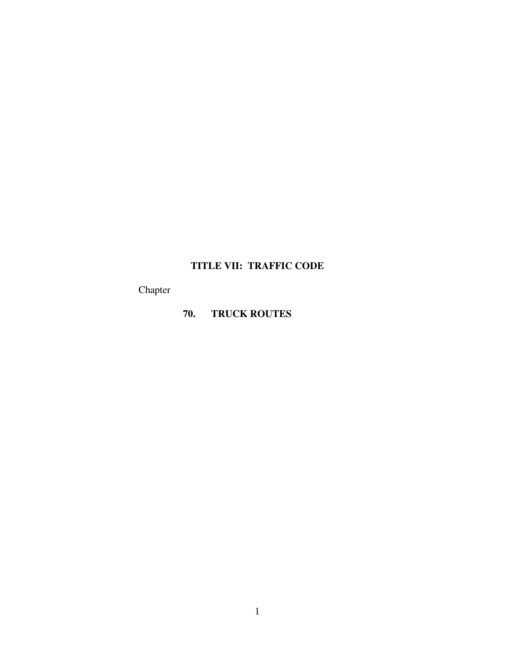# **TITLE VII: TRAFFIC CODE**

Chapter

## **70. TRUCK ROUTES**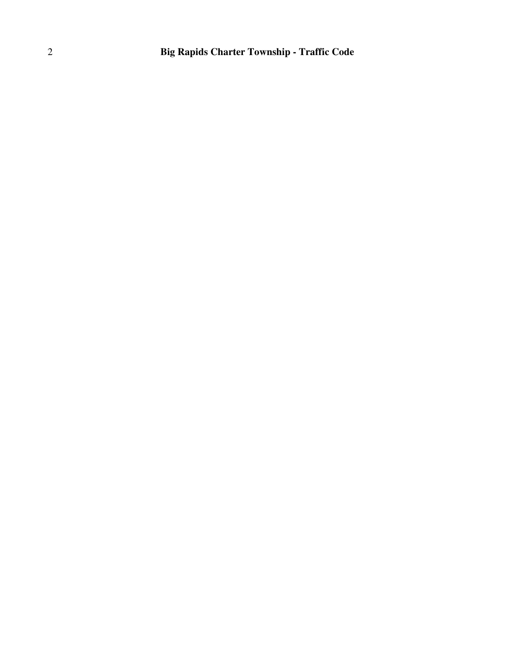**Big Rapids Charter Township - Traffic Code**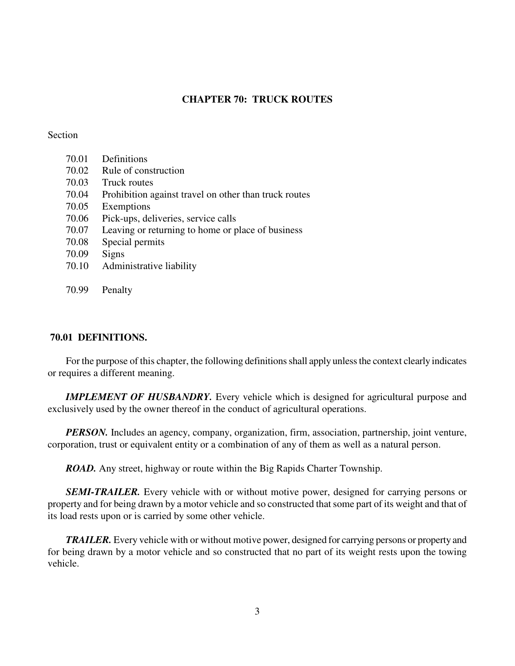### **CHAPTER 70: TRUCK ROUTES**

#### Section

| 70.01 | Definitions                                           |
|-------|-------------------------------------------------------|
| 70.02 | Rule of construction                                  |
| 70.03 | Truck routes                                          |
| 70.04 | Prohibition against travel on other than truck routes |
| 70.05 | Exemptions                                            |
| 70.06 | Pick-ups, deliveries, service calls                   |
| 70.07 | Leaving or returning to home or place of business     |
| 70.08 | Special permits                                       |
| 70.09 | Signs                                                 |
| 70.10 | Administrative liability                              |
|       |                                                       |
| 70.99 | Penalty                                               |

#### **70.01 DEFINITIONS.**

For the purpose of this chapter, the following definitions shall apply unless the context clearly indicates or requires a different meaning.

**IMPLEMENT OF HUSBANDRY.** Every vehicle which is designed for agricultural purpose and exclusively used by the owner thereof in the conduct of agricultural operations.

*PERSON*. Includes an agency, company, organization, firm, association, partnership, joint venture, corporation, trust or equivalent entity or a combination of any of them as well as a natural person.

*ROAD.* Any street, highway or route within the Big Rapids Charter Township.

*SEMI-TRAILER.* Every vehicle with or without motive power, designed for carrying persons or property and for being drawn by a motor vehicle and so constructed that some part of its weight and that of its load rests upon or is carried by some other vehicle.

*TRAILER.* Every vehicle with or without motive power, designed for carrying persons or property and for being drawn by a motor vehicle and so constructed that no part of its weight rests upon the towing vehicle.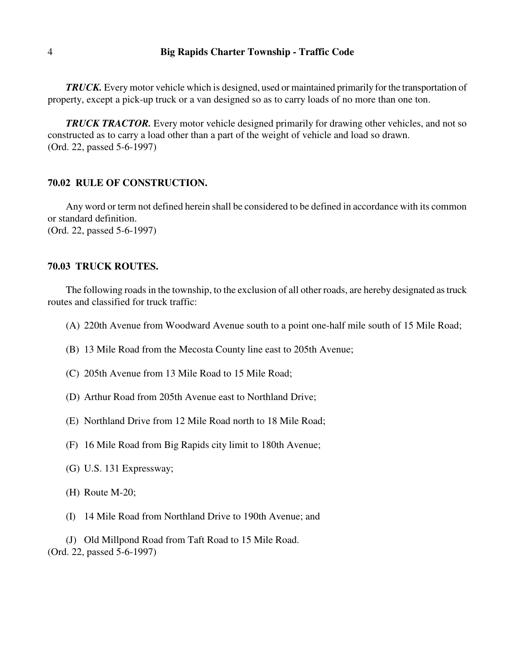#### 4 **Big Rapids Charter Township - Traffic Code**

*TRUCK*. Every motor vehicle which is designed, used or maintained primarily for the transportation of property, except a pick-up truck or a van designed so as to carry loads of no more than one ton.

**TRUCK TRACTOR.** Every motor vehicle designed primarily for drawing other vehicles, and not so constructed as to carry a load other than a part of the weight of vehicle and load so drawn. (Ord. 22, passed 5-6-1997)

#### **70.02 RULE OF CONSTRUCTION.**

Any word or term not defined herein shall be considered to be defined in accordance with its common or standard definition. (Ord. 22, passed 5-6-1997)

#### **70.03 TRUCK ROUTES.**

The following roads in the township, to the exclusion of all other roads, are hereby designated as truck routes and classified for truck traffic:

- (A) 220th Avenue from Woodward Avenue south to a point one-half mile south of 15 Mile Road;
- (B) 13 Mile Road from the Mecosta County line east to 205th Avenue;
- (C) 205th Avenue from 13 Mile Road to 15 Mile Road;
- (D) Arthur Road from 205th Avenue east to Northland Drive;
- (E) Northland Drive from 12 Mile Road north to 18 Mile Road;
- (F) 16 Mile Road from Big Rapids city limit to 180th Avenue;
- (G) U.S. 131 Expressway;
- (H) Route M-20;
- (I) 14 Mile Road from Northland Drive to 190th Avenue; and

(J) Old Millpond Road from Taft Road to 15 Mile Road. (Ord. 22, passed 5-6-1997)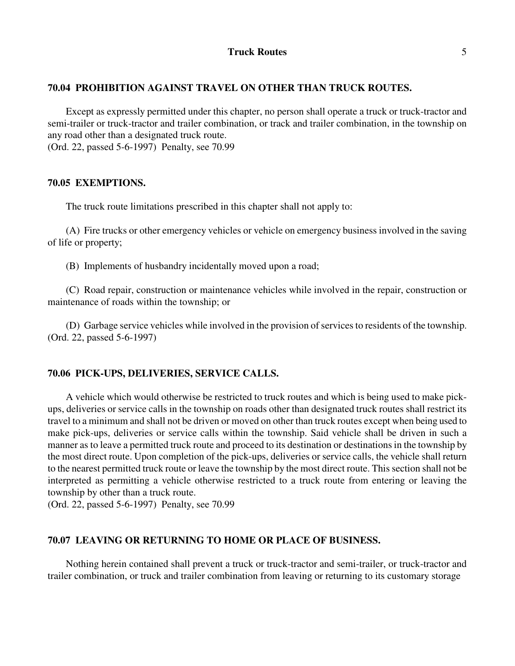#### **Truck Routes** 5

#### **70.04 PROHIBITION AGAINST TRAVEL ON OTHER THAN TRUCK ROUTES.**

Except as expressly permitted under this chapter, no person shall operate a truck or truck-tractor and semi-trailer or truck-tractor and trailer combination, or track and trailer combination, in the township on any road other than a designated truck route. (Ord. 22, passed 5-6-1997) Penalty, see 70.99

**70.05 EXEMPTIONS.**

The truck route limitations prescribed in this chapter shall not apply to:

(A) Fire trucks or other emergency vehicles or vehicle on emergency business involved in the saving of life or property;

(B) Implements of husbandry incidentally moved upon a road;

(C) Road repair, construction or maintenance vehicles while involved in the repair, construction or maintenance of roads within the township; or

(D) Garbage service vehicles while involved in the provision of services to residents of the township. (Ord. 22, passed 5-6-1997)

#### **70.06 PICK-UPS, DELIVERIES, SERVICE CALLS.**

A vehicle which would otherwise be restricted to truck routes and which is being used to make pickups, deliveries or service calls in the township on roads other than designated truck routes shall restrict its travel to a minimum and shall not be driven or moved on other than truck routes except when being used to make pick-ups, deliveries or service calls within the township. Said vehicle shall be driven in such a manner as to leave a permitted truck route and proceed to its destination or destinations in the township by the most direct route. Upon completion of the pick-ups, deliveries or service calls, the vehicle shall return to the nearest permitted truck route or leave the township by the most direct route. This section shall not be interpreted as permitting a vehicle otherwise restricted to a truck route from entering or leaving the township by other than a truck route.

(Ord. 22, passed 5-6-1997) Penalty, see 70.99

#### **70.07 LEAVING OR RETURNING TO HOME OR PLACE OF BUSINESS.**

Nothing herein contained shall prevent a truck or truck-tractor and semi-trailer, or truck-tractor and trailer combination, or truck and trailer combination from leaving or returning to its customary storage